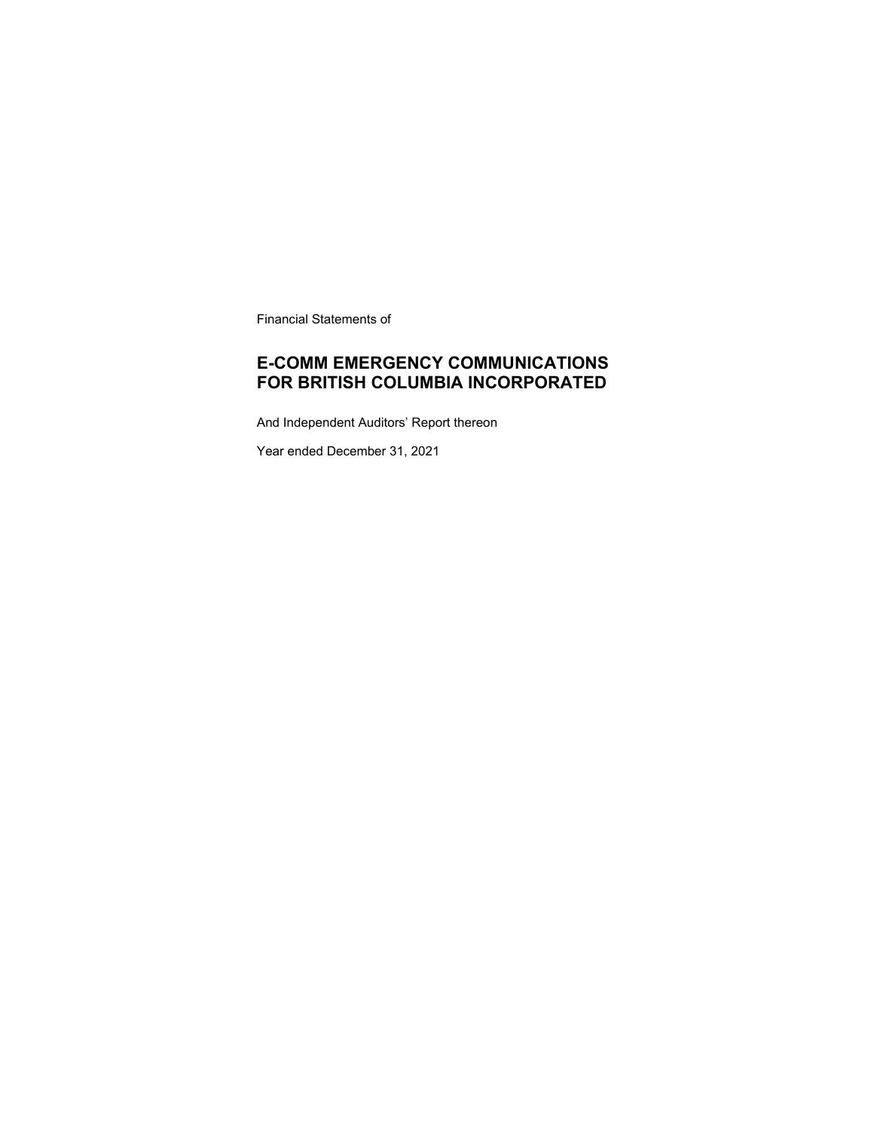Financial Statements of

### **E-COMM EMERGENCY COMMUNICATIONS FOR BRITISH COLUMBIA INCORPORATED**

And Independent Auditors' Report thereon

Year ended December 31, 2021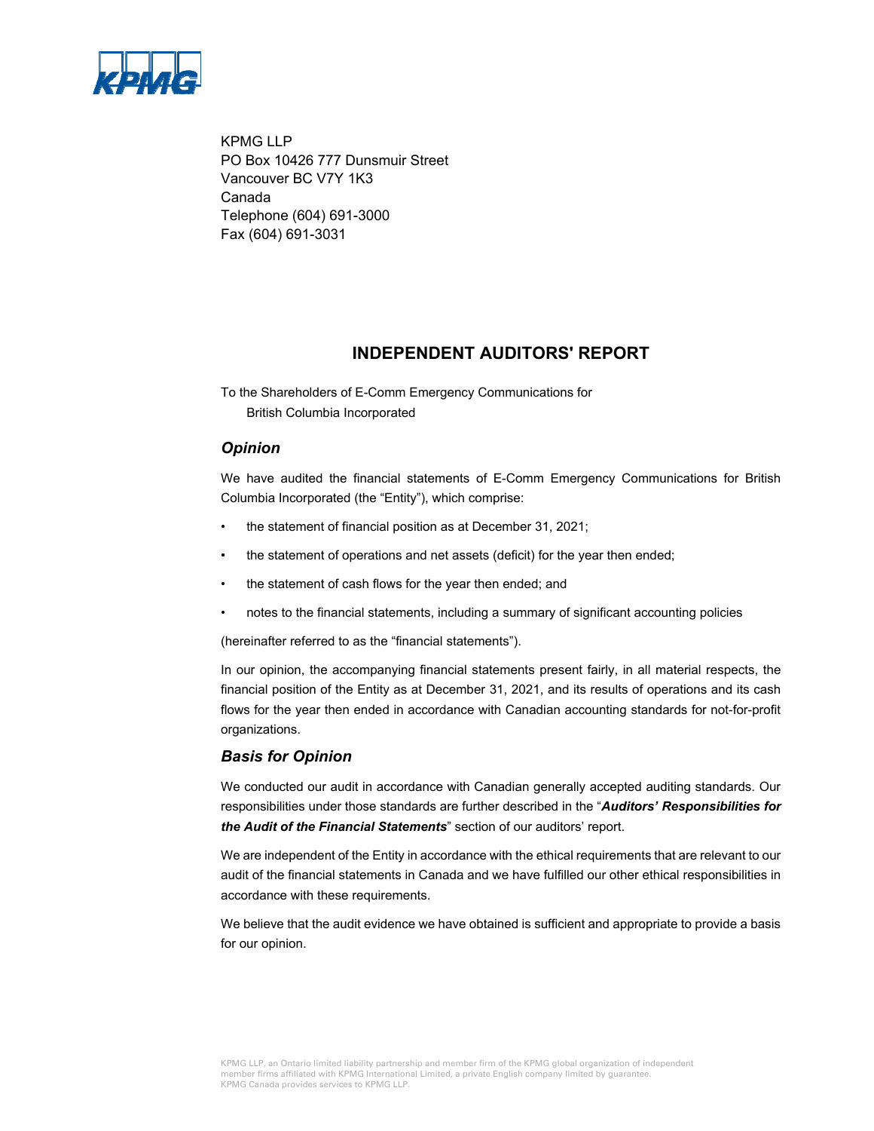

KPMG LLP PO Box 10426 777 Dunsmuir Street Vancouver BC V7Y 1K3 Canada Telephone (604) 691-3000 Fax (604) 691-3031

### **INDEPENDENT AUDITORS' REPORT**

To the Shareholders of E-Comm Emergency Communications for British Columbia Incorporated

#### *Opinion*

We have audited the financial statements of E-Comm Emergency Communications for British Columbia Incorporated (the "Entity"), which comprise:

- the statement of financial position as at December 31, 2021;
- the statement of operations and net assets (deficit) for the year then ended;
- the statement of cash flows for the year then ended; and
- notes to the financial statements, including a summary of significant accounting policies

(hereinafter referred to as the "financial statements").

In our opinion, the accompanying financial statements present fairly, in all material respects, the financial position of the Entity as at December 31, 2021, and its results of operations and its cash flows for the year then ended in accordance with Canadian accounting standards for not-for-profit organizations.

#### *Basis for Opinion*

We conducted our audit in accordance with Canadian generally accepted auditing standards. Our responsibilities under those standards are further described in the "*Auditors' Responsibilities for the Audit of the Financial Statements*" section of our auditors' report.

We are independent of the Entity in accordance with the ethical requirements that are relevant to our audit of the financial statements in Canada and we have fulfilled our other ethical responsibilities in accordance with these requirements.

We believe that the audit evidence we have obtained is sufficient and appropriate to provide a basis for our opinion.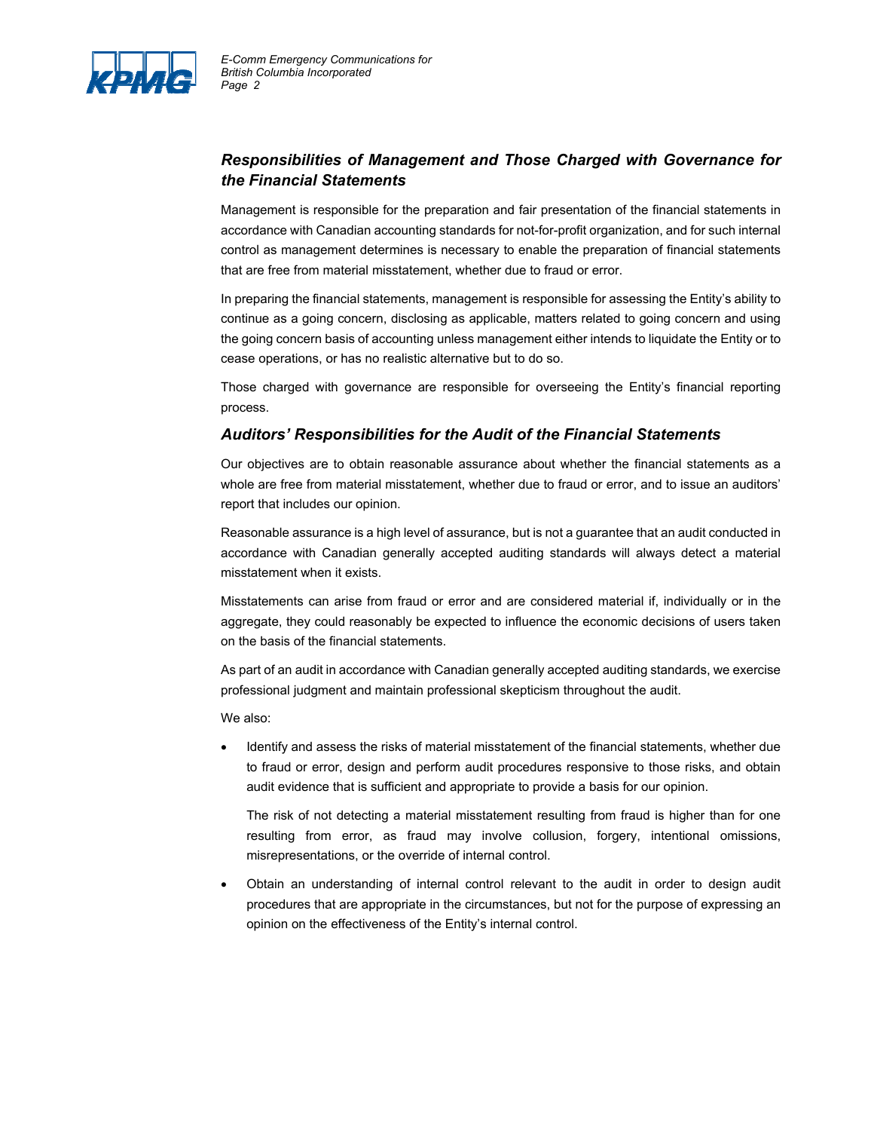

### *Responsibilities of Management and Those Charged with Governance for the Financial Statements*

Management is responsible for the preparation and fair presentation of the financial statements in accordance with Canadian accounting standards for not-for-profit organization, and for such internal control as management determines is necessary to enable the preparation of financial statements that are free from material misstatement, whether due to fraud or error.

In preparing the financial statements, management is responsible for assessing the Entity's ability to continue as a going concern, disclosing as applicable, matters related to going concern and using the going concern basis of accounting unless management either intends to liquidate the Entity or to cease operations, or has no realistic alternative but to do so.

Those charged with governance are responsible for overseeing the Entity's financial reporting process.

### *Auditors' Responsibilities for the Audit of the Financial Statements*

Our objectives are to obtain reasonable assurance about whether the financial statements as a whole are free from material misstatement, whether due to fraud or error, and to issue an auditors' report that includes our opinion.

Reasonable assurance is a high level of assurance, but is not a guarantee that an audit conducted in accordance with Canadian generally accepted auditing standards will always detect a material misstatement when it exists.

Misstatements can arise from fraud or error and are considered material if, individually or in the aggregate, they could reasonably be expected to influence the economic decisions of users taken on the basis of the financial statements.

As part of an audit in accordance with Canadian generally accepted auditing standards, we exercise professional judgment and maintain professional skepticism throughout the audit.

We also:

 Identify and assess the risks of material misstatement of the financial statements, whether due to fraud or error, design and perform audit procedures responsive to those risks, and obtain audit evidence that is sufficient and appropriate to provide a basis for our opinion.

The risk of not detecting a material misstatement resulting from fraud is higher than for one resulting from error, as fraud may involve collusion, forgery, intentional omissions, misrepresentations, or the override of internal control.

 Obtain an understanding of internal control relevant to the audit in order to design audit procedures that are appropriate in the circumstances, but not for the purpose of expressing an opinion on the effectiveness of the Entity's internal control.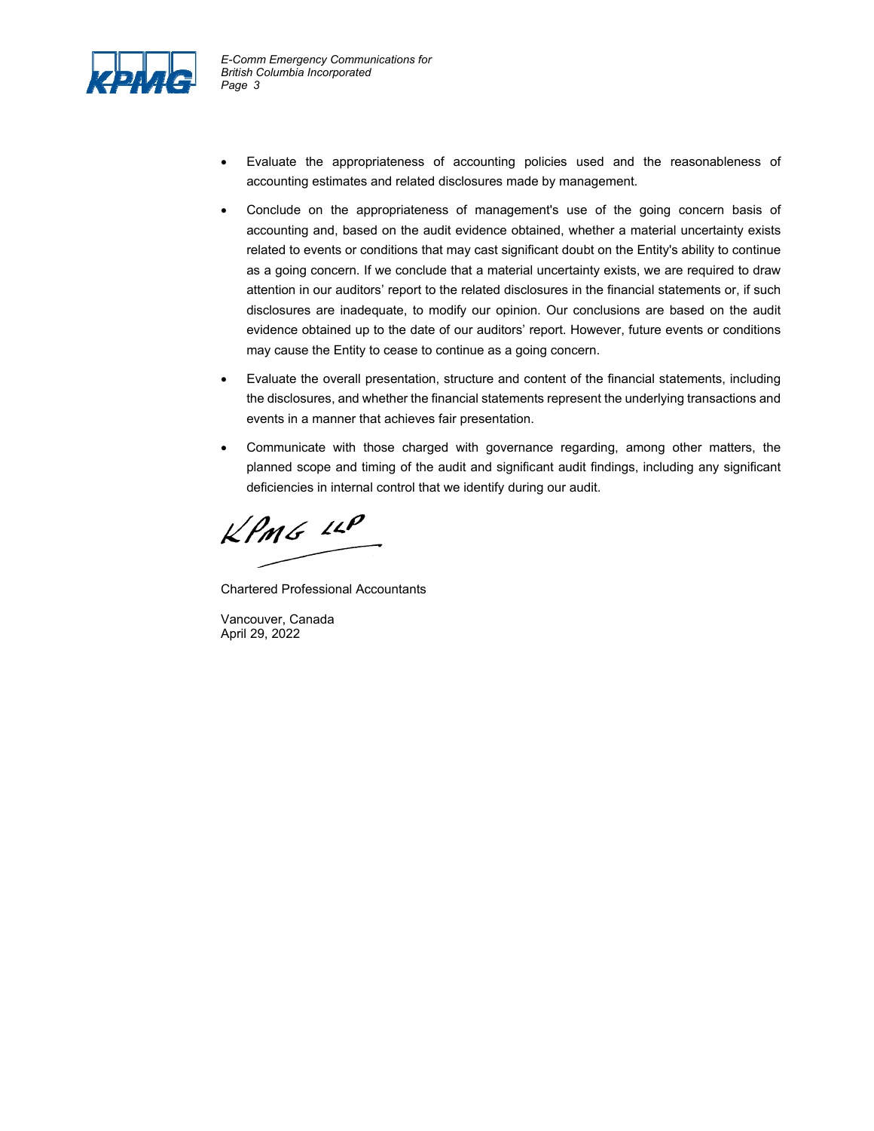

- Evaluate the appropriateness of accounting policies used and the reasonableness of accounting estimates and related disclosures made by management.
- Conclude on the appropriateness of management's use of the going concern basis of accounting and, based on the audit evidence obtained, whether a material uncertainty exists related to events or conditions that may cast significant doubt on the Entity's ability to continue as a going concern. If we conclude that a material uncertainty exists, we are required to draw attention in our auditors' report to the related disclosures in the financial statements or, if such disclosures are inadequate, to modify our opinion. Our conclusions are based on the audit evidence obtained up to the date of our auditors' report. However, future events or conditions may cause the Entity to cease to continue as a going concern.
- Evaluate the overall presentation, structure and content of the financial statements, including the disclosures, and whether the financial statements represent the underlying transactions and events in a manner that achieves fair presentation.
- Communicate with those charged with governance regarding, among other matters, the planned scope and timing of the audit and significant audit findings, including any significant deficiencies in internal control that we identify during our audit.

 $kPMS$  11P

Chartered Professional Accountants

Vancouver, Canada April 29, 2022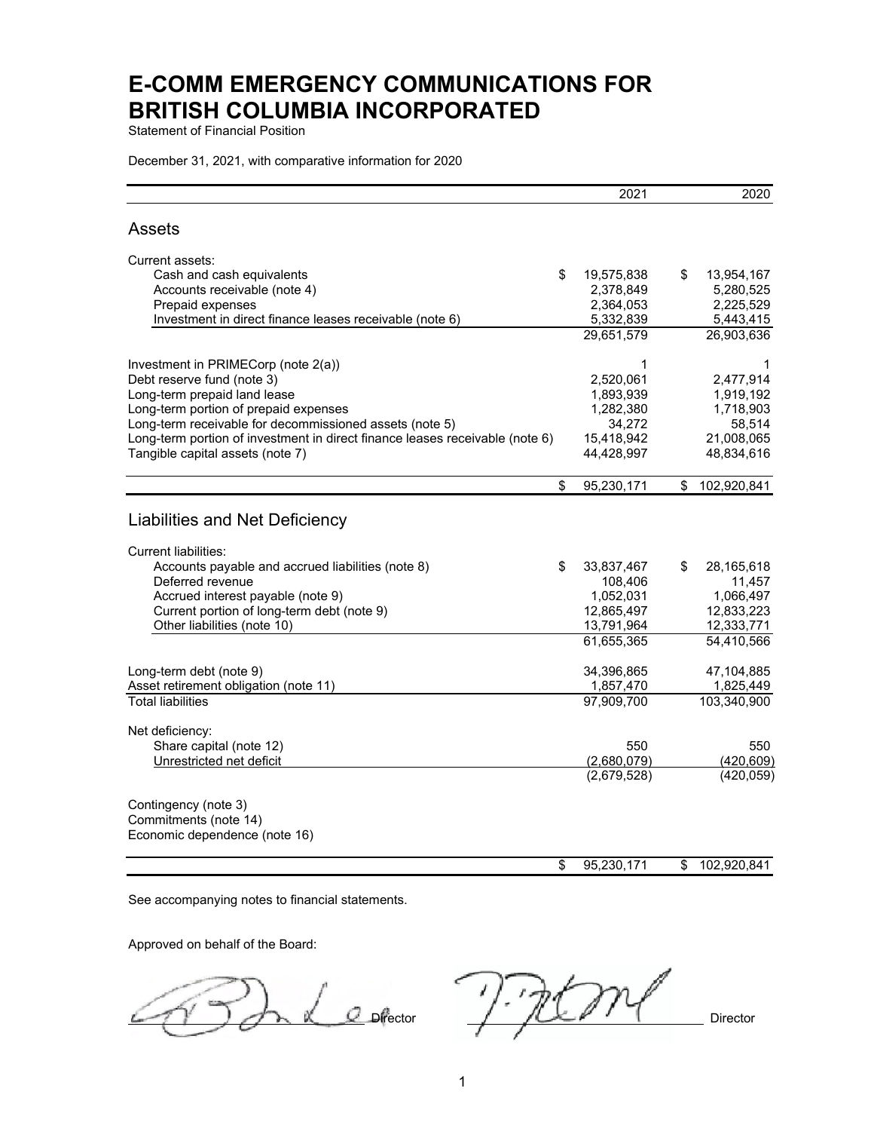Statement of Financial Position

December 31, 2021, with comparative information for 2020

|                                                                              | 2021        | 2020              |
|------------------------------------------------------------------------------|-------------|-------------------|
| <b>Assets</b>                                                                |             |                   |
| Current assets:                                                              |             |                   |
| \$<br>Cash and cash equivalents                                              | 19,575,838  | \$<br>13,954,167  |
| Accounts receivable (note 4)                                                 | 2,378,849   | 5,280,525         |
| Prepaid expenses                                                             | 2,364,053   | 2,225,529         |
| Investment in direct finance leases receivable (note 6)                      | 5,332,839   | 5,443,415         |
|                                                                              | 29,651,579  | 26,903,636        |
| Investment in PRIMECorp (note 2(a))                                          | 1           | 1                 |
| Debt reserve fund (note 3)                                                   | 2,520,061   | 2,477,914         |
| Long-term prepaid land lease                                                 | 1,893,939   | 1,919,192         |
| Long-term portion of prepaid expenses                                        | 1,282,380   | 1,718,903         |
| Long-term receivable for decommissioned assets (note 5)                      | 34,272      | 58,514            |
| Long-term portion of investment in direct finance leases receivable (note 6) | 15,418,942  | 21,008,065        |
| Tangible capital assets (note 7)                                             | 44,428,997  | 48,834,616        |
| \$                                                                           | 95,230,171  | \$<br>102,920,841 |
| Liabilities and Net Deficiency<br>Current liabilities:                       |             |                   |
| \$<br>Accounts payable and accrued liabilities (note 8)                      | 33,837,467  | \$<br>28,165,618  |
| Deferred revenue                                                             | 108,406     | 11,457            |
| Accrued interest payable (note 9)                                            | 1,052,031   | 1,066,497         |
| Current portion of long-term debt (note 9)                                   | 12,865,497  | 12,833,223        |
| Other liabilities (note 10)                                                  | 13,791,964  | 12,333,771        |
|                                                                              | 61,655,365  | 54,410,566        |
| Long-term debt (note 9)                                                      | 34,396,865  | 47,104,885        |
| Asset retirement obligation (note 11)                                        | 1,857,470   | 1,825,449         |
| <b>Total liabilities</b>                                                     | 97,909,700  | 103,340,900       |
| Net deficiency:                                                              |             |                   |
| Share capital (note 12)                                                      | 550         | 550               |
| Unrestricted net deficit                                                     | (2,680,079) | (420.609)         |
|                                                                              | (2,679,528) | (420, 059)        |
| Contingency (note 3)                                                         |             |                   |
| Commitments (note 14)<br>Economic dependence (note 16)                       |             |                   |
| \$                                                                           | 95,230,171  | \$<br>102,920,841 |

See accompanying notes to financial statements.

Approved on behalf of the Board:

 $Q_{\text{defector}} \left( \frac{1}{2} \right)$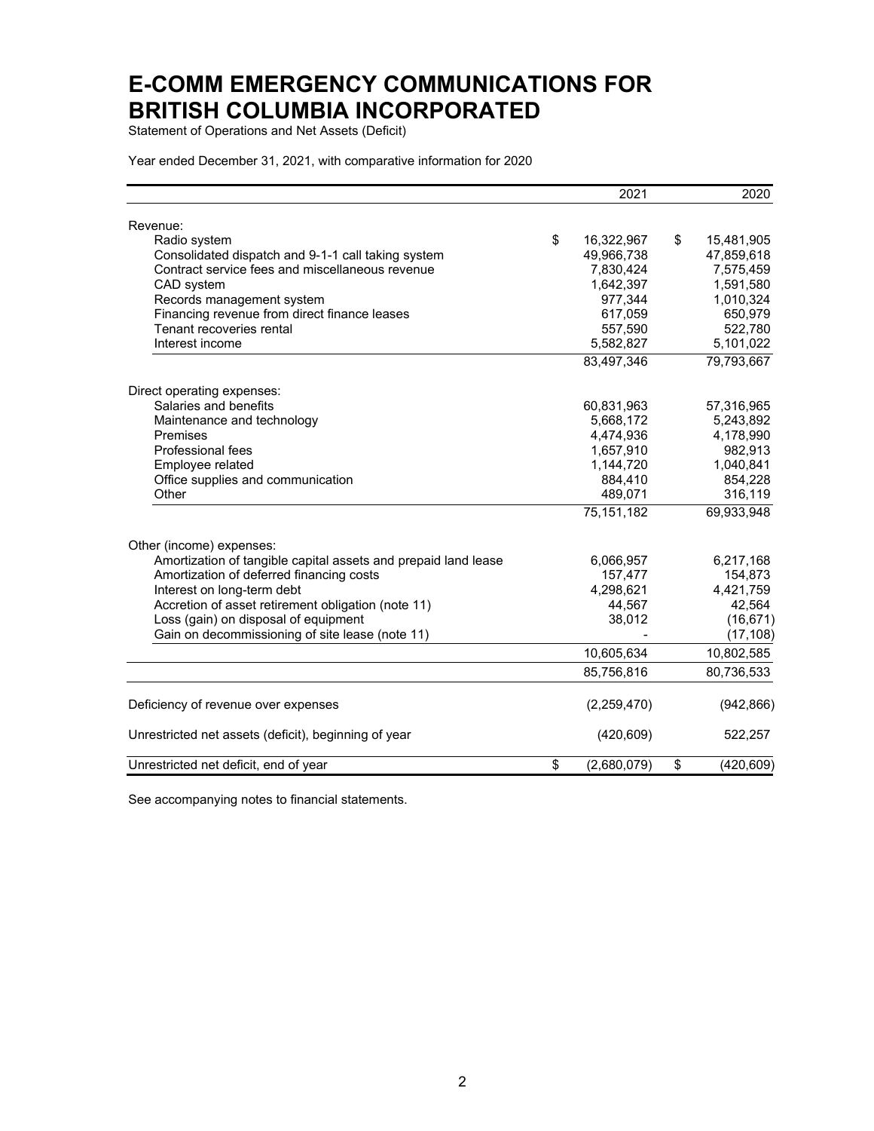Statement of Operations and Net Assets (Deficit)

Year ended December 31, 2021, with comparative information for 2020

|                                                                | 2021              | 2020             |
|----------------------------------------------------------------|-------------------|------------------|
| Revenue:                                                       |                   |                  |
| Radio system                                                   | \$<br>16,322,967  | \$<br>15,481,905 |
| Consolidated dispatch and 9-1-1 call taking system             | 49,966,738        | 47,859,618       |
| Contract service fees and miscellaneous revenue                | 7,830,424         | 7,575,459        |
| CAD system                                                     | 1,642,397         | 1,591,580        |
| Records management system                                      | 977,344           | 1,010,324        |
| Financing revenue from direct finance leases                   | 617,059           | 650,979          |
| Tenant recoveries rental                                       | 557,590           | 522,780          |
| Interest income                                                | 5,582,827         | 5,101,022        |
|                                                                | 83,497,346        | 79,793,667       |
| Direct operating expenses:                                     |                   |                  |
| Salaries and benefits                                          | 60,831,963        | 57,316,965       |
| Maintenance and technology                                     | 5,668,172         | 5,243,892        |
| Premises                                                       | 4,474,936         | 4,178,990        |
| Professional fees                                              | 1,657,910         | 982,913          |
| Employee related                                               | 1,144,720         | 1,040,841        |
| Office supplies and communication                              | 884,410           | 854,228          |
| Other                                                          | 489,071           | 316,119          |
|                                                                | 75, 151, 182      | 69,933,948       |
| Other (income) expenses:                                       |                   |                  |
| Amortization of tangible capital assets and prepaid land lease | 6,066,957         | 6,217,168        |
| Amortization of deferred financing costs                       | 157,477           | 154,873          |
| Interest on long-term debt                                     | 4,298,621         | 4,421,759        |
| Accretion of asset retirement obligation (note 11)             | 44,567            | 42,564           |
| Loss (gain) on disposal of equipment                           | 38,012            | (16, 671)        |
| Gain on decommissioning of site lease (note 11)                |                   | (17, 108)        |
|                                                                | 10,605,634        | 10,802,585       |
|                                                                | 85,756,816        | 80,736,533       |
| Deficiency of revenue over expenses                            | (2, 259, 470)     | (942, 866)       |
| Unrestricted net assets (deficit), beginning of year           | (420, 609)        | 522,257          |
| Unrestricted net deficit, end of year                          | \$<br>(2,680,079) | \$<br>(420, 609) |

See accompanying notes to financial statements.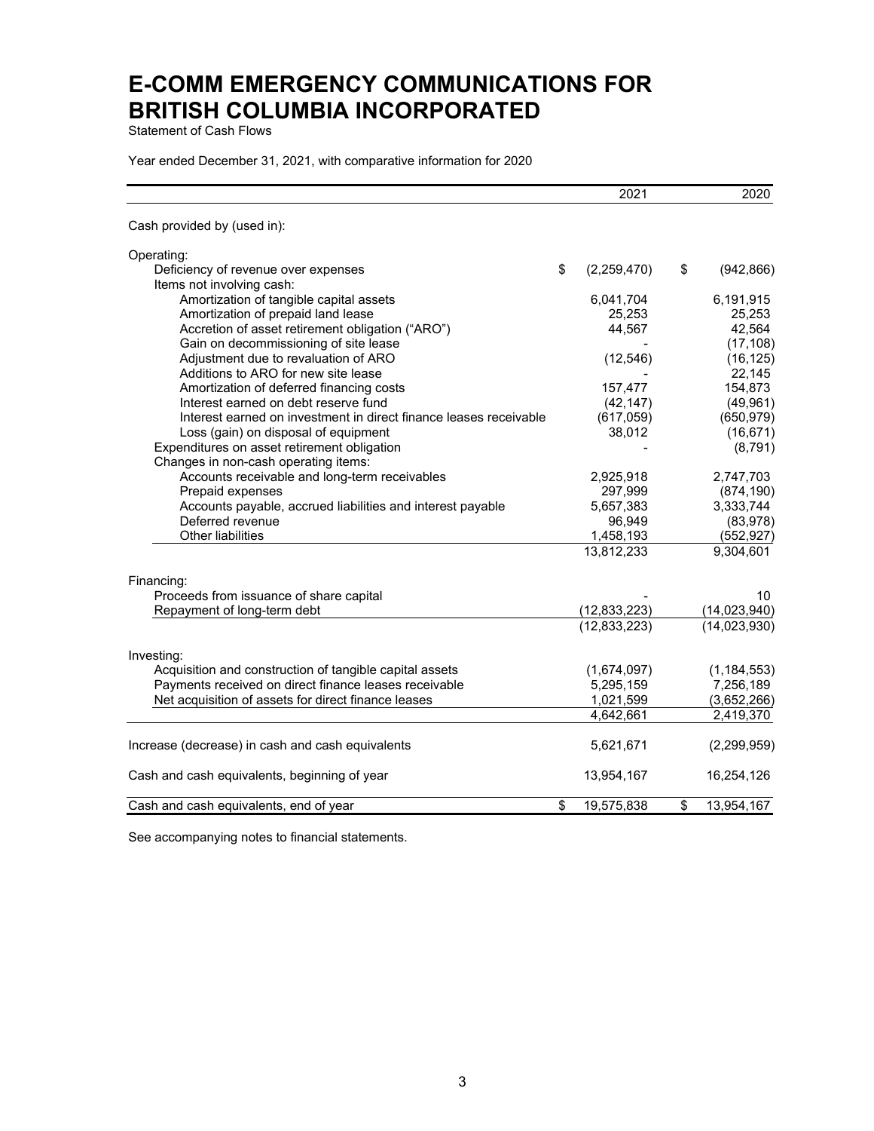Statement of Cash Flows

Year ended December 31, 2021, with comparative information for 2020

|                                                                   | 2021              | 2020             |
|-------------------------------------------------------------------|-------------------|------------------|
| Cash provided by (used in):                                       |                   |                  |
| Operating:                                                        |                   |                  |
| Deficiency of revenue over expenses                               | \$<br>(2,259,470) | \$<br>(942, 866) |
| Items not involving cash:                                         |                   |                  |
| Amortization of tangible capital assets                           | 6,041,704         | 6,191,915        |
| Amortization of prepaid land lease                                | 25,253            | 25,253           |
| Accretion of asset retirement obligation ("ARO")                  | 44,567            | 42,564           |
| Gain on decommissioning of site lease                             |                   | (17, 108)        |
| Adjustment due to revaluation of ARO                              | (12, 546)         | (16, 125)        |
| Additions to ARO for new site lease                               |                   | 22,145           |
| Amortization of deferred financing costs                          | 157,477           | 154,873          |
| Interest earned on debt reserve fund                              | (42, 147)         | (49, 961)        |
| Interest earned on investment in direct finance leases receivable | (617,059)         | (650, 979)       |
| Loss (gain) on disposal of equipment                              | 38,012            | (16, 671)        |
| Expenditures on asset retirement obligation                       |                   | (8,791)          |
| Changes in non-cash operating items:                              |                   |                  |
| Accounts receivable and long-term receivables                     | 2,925,918         | 2,747,703        |
| Prepaid expenses                                                  | 297,999           | (874, 190)       |
| Accounts payable, accrued liabilities and interest payable        | 5,657,383         | 3,333,744        |
| Deferred revenue                                                  | 96,949            | (83, 978)        |
| <b>Other liabilities</b>                                          | 1,458,193         | (552, 927)       |
|                                                                   | 13,812,233        | 9,304,601        |
| Financing:                                                        |                   |                  |
| Proceeds from issuance of share capital                           |                   | 10               |
| Repayment of long-term debt                                       | (12, 833, 223)    | (14, 023, 940)   |
|                                                                   | (12,833,223)      | (14, 023, 930)   |
| Investing:                                                        |                   |                  |
| Acquisition and construction of tangible capital assets           | (1,674,097)       | (1, 184, 553)    |
| Payments received on direct finance leases receivable             | 5,295,159         | 7,256,189        |
| Net acquisition of assets for direct finance leases               | 1,021,599         | (3,652,266)      |
|                                                                   | 4,642,661         | 2,419,370        |
| Increase (decrease) in cash and cash equivalents                  | 5,621,671         | (2, 299, 959)    |
| Cash and cash equivalents, beginning of year                      | 13,954,167        | 16,254,126       |
| Cash and cash equivalents, end of year                            | \$<br>19,575,838  | \$<br>13,954,167 |

See accompanying notes to financial statements.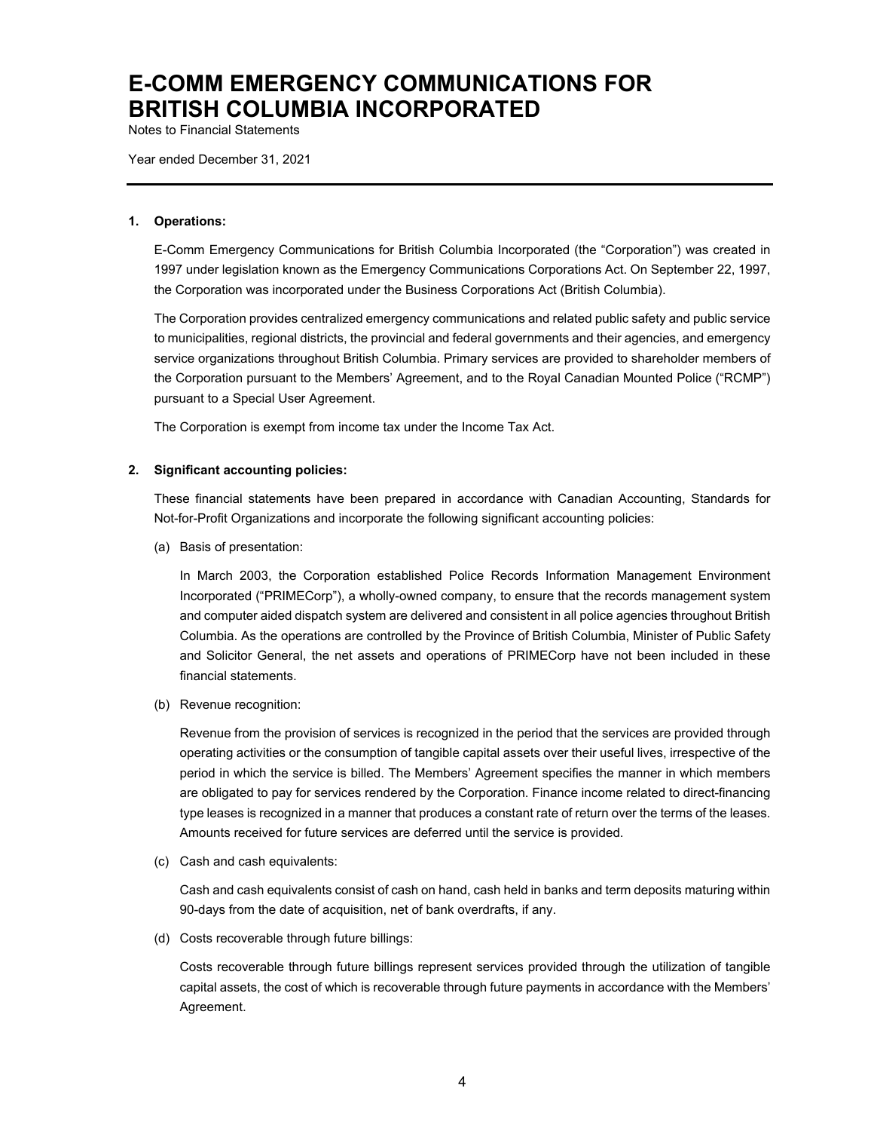Notes to Financial Statements

Year ended December 31, 2021

#### **1. Operations:**

E-Comm Emergency Communications for British Columbia Incorporated (the "Corporation") was created in 1997 under legislation known as the Emergency Communications Corporations Act. On September 22, 1997, the Corporation was incorporated under the Business Corporations Act (British Columbia).

The Corporation provides centralized emergency communications and related public safety and public service to municipalities, regional districts, the provincial and federal governments and their agencies, and emergency service organizations throughout British Columbia. Primary services are provided to shareholder members of the Corporation pursuant to the Members' Agreement, and to the Royal Canadian Mounted Police ("RCMP") pursuant to a Special User Agreement.

The Corporation is exempt from income tax under the Income Tax Act.

#### **2. Significant accounting policies:**

These financial statements have been prepared in accordance with Canadian Accounting, Standards for Not-for-Profit Organizations and incorporate the following significant accounting policies:

(a) Basis of presentation:

In March 2003, the Corporation established Police Records Information Management Environment Incorporated ("PRIMECorp"), a wholly-owned company, to ensure that the records management system and computer aided dispatch system are delivered and consistent in all police agencies throughout British Columbia. As the operations are controlled by the Province of British Columbia, Minister of Public Safety and Solicitor General, the net assets and operations of PRIMECorp have not been included in these financial statements.

(b) Revenue recognition:

Revenue from the provision of services is recognized in the period that the services are provided through operating activities or the consumption of tangible capital assets over their useful lives, irrespective of the period in which the service is billed. The Members' Agreement specifies the manner in which members are obligated to pay for services rendered by the Corporation. Finance income related to direct-financing type leases is recognized in a manner that produces a constant rate of return over the terms of the leases. Amounts received for future services are deferred until the service is provided.

(c) Cash and cash equivalents:

Cash and cash equivalents consist of cash on hand, cash held in banks and term deposits maturing within 90-days from the date of acquisition, net of bank overdrafts, if any.

(d) Costs recoverable through future billings:

Costs recoverable through future billings represent services provided through the utilization of tangible capital assets, the cost of which is recoverable through future payments in accordance with the Members' Agreement.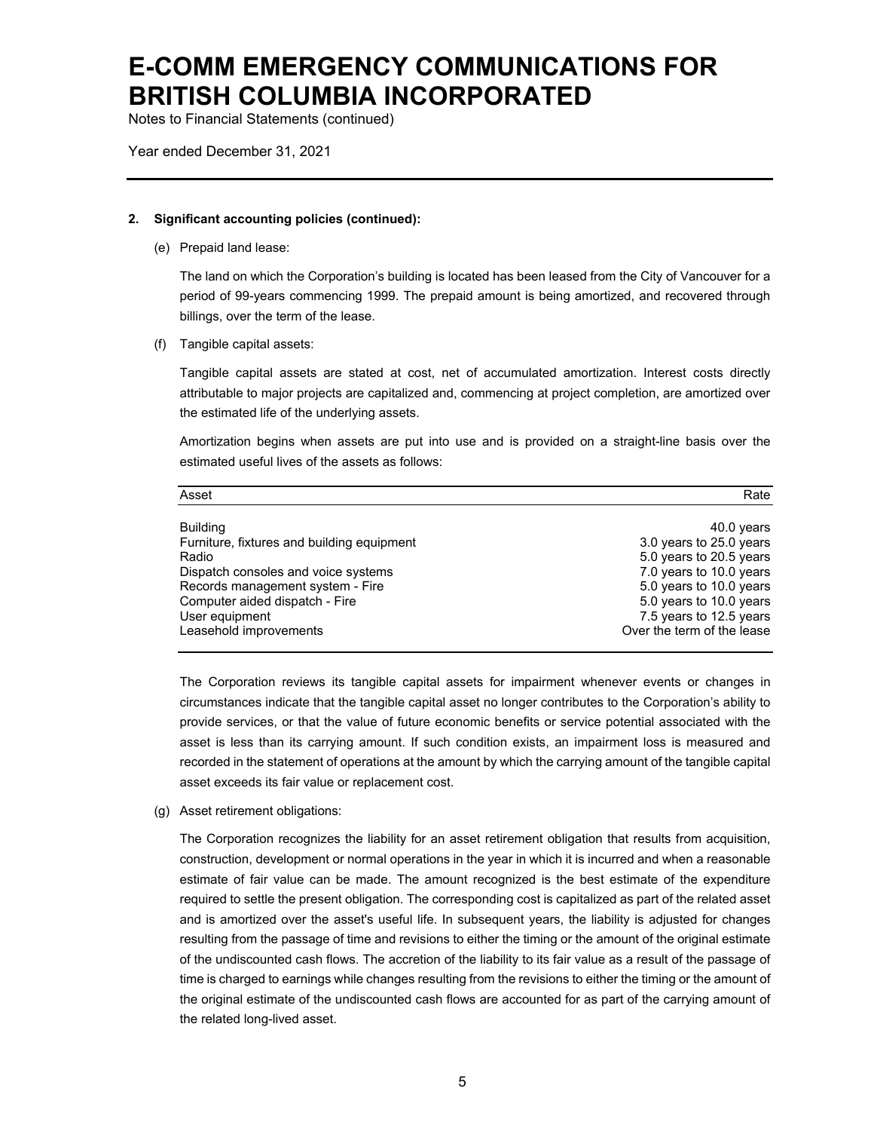Notes to Financial Statements (continued)

Year ended December 31, 2021

#### **2. Significant accounting policies (continued):**

(e) Prepaid land lease:

The land on which the Corporation's building is located has been leased from the City of Vancouver for a period of 99-years commencing 1999. The prepaid amount is being amortized, and recovered through billings, over the term of the lease.

(f) Tangible capital assets:

Tangible capital assets are stated at cost, net of accumulated amortization. Interest costs directly attributable to major projects are capitalized and, commencing at project completion, are amortized over the estimated life of the underlying assets.

Amortization begins when assets are put into use and is provided on a straight-line basis over the estimated useful lives of the assets as follows:

| Asset                                      | Rate                       |
|--------------------------------------------|----------------------------|
|                                            |                            |
| <b>Building</b>                            | 40.0 years                 |
| Furniture, fixtures and building equipment | 3.0 years to 25.0 years    |
| Radio                                      | 5.0 years to 20.5 years    |
| Dispatch consoles and voice systems        | 7.0 years to 10.0 years    |
| Records management system - Fire           | 5.0 years to 10.0 years    |
| Computer aided dispatch - Fire             | 5.0 years to 10.0 years    |
| User equipment                             | 7.5 years to 12.5 years    |
| Leasehold improvements                     | Over the term of the lease |

The Corporation reviews its tangible capital assets for impairment whenever events or changes in circumstances indicate that the tangible capital asset no longer contributes to the Corporation's ability to provide services, or that the value of future economic benefits or service potential associated with the asset is less than its carrying amount. If such condition exists, an impairment loss is measured and recorded in the statement of operations at the amount by which the carrying amount of the tangible capital asset exceeds its fair value or replacement cost.

(g) Asset retirement obligations:

The Corporation recognizes the liability for an asset retirement obligation that results from acquisition, construction, development or normal operations in the year in which it is incurred and when a reasonable estimate of fair value can be made. The amount recognized is the best estimate of the expenditure required to settle the present obligation. The corresponding cost is capitalized as part of the related asset and is amortized over the asset's useful life. In subsequent years, the liability is adjusted for changes resulting from the passage of time and revisions to either the timing or the amount of the original estimate of the undiscounted cash flows. The accretion of the liability to its fair value as a result of the passage of time is charged to earnings while changes resulting from the revisions to either the timing or the amount of the original estimate of the undiscounted cash flows are accounted for as part of the carrying amount of the related long-lived asset.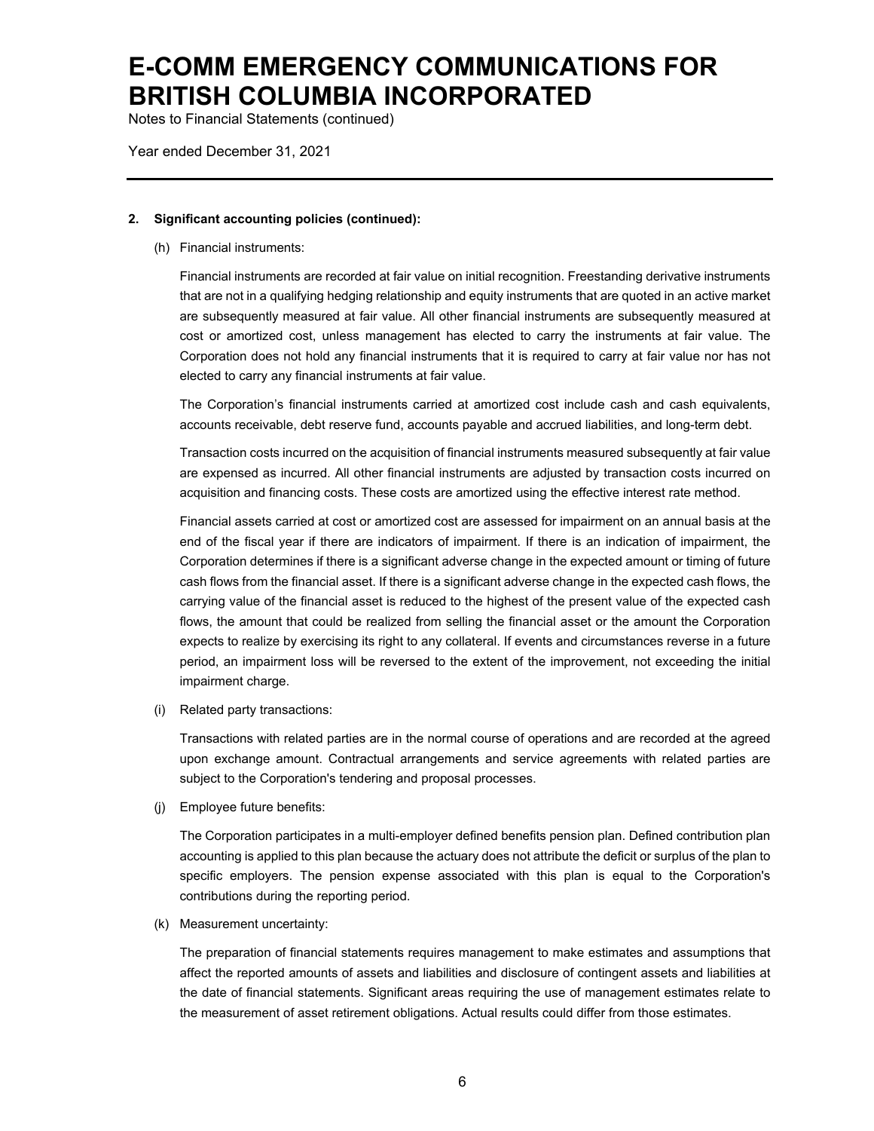Notes to Financial Statements (continued)

Year ended December 31, 2021

#### **2. Significant accounting policies (continued):**

(h) Financial instruments:

Financial instruments are recorded at fair value on initial recognition. Freestanding derivative instruments that are not in a qualifying hedging relationship and equity instruments that are quoted in an active market are subsequently measured at fair value. All other financial instruments are subsequently measured at cost or amortized cost, unless management has elected to carry the instruments at fair value. The Corporation does not hold any financial instruments that it is required to carry at fair value nor has not elected to carry any financial instruments at fair value.

The Corporation's financial instruments carried at amortized cost include cash and cash equivalents, accounts receivable, debt reserve fund, accounts payable and accrued liabilities, and long-term debt.

Transaction costs incurred on the acquisition of financial instruments measured subsequently at fair value are expensed as incurred. All other financial instruments are adjusted by transaction costs incurred on acquisition and financing costs. These costs are amortized using the effective interest rate method.

Financial assets carried at cost or amortized cost are assessed for impairment on an annual basis at the end of the fiscal year if there are indicators of impairment. If there is an indication of impairment, the Corporation determines if there is a significant adverse change in the expected amount or timing of future cash flows from the financial asset. If there is a significant adverse change in the expected cash flows, the carrying value of the financial asset is reduced to the highest of the present value of the expected cash flows, the amount that could be realized from selling the financial asset or the amount the Corporation expects to realize by exercising its right to any collateral. If events and circumstances reverse in a future period, an impairment loss will be reversed to the extent of the improvement, not exceeding the initial impairment charge.

(i) Related party transactions:

Transactions with related parties are in the normal course of operations and are recorded at the agreed upon exchange amount. Contractual arrangements and service agreements with related parties are subject to the Corporation's tendering and proposal processes.

(j) Employee future benefits:

The Corporation participates in a multi-employer defined benefits pension plan. Defined contribution plan accounting is applied to this plan because the actuary does not attribute the deficit or surplus of the plan to specific employers. The pension expense associated with this plan is equal to the Corporation's contributions during the reporting period.

(k) Measurement uncertainty:

The preparation of financial statements requires management to make estimates and assumptions that affect the reported amounts of assets and liabilities and disclosure of contingent assets and liabilities at the date of financial statements. Significant areas requiring the use of management estimates relate to the measurement of asset retirement obligations. Actual results could differ from those estimates.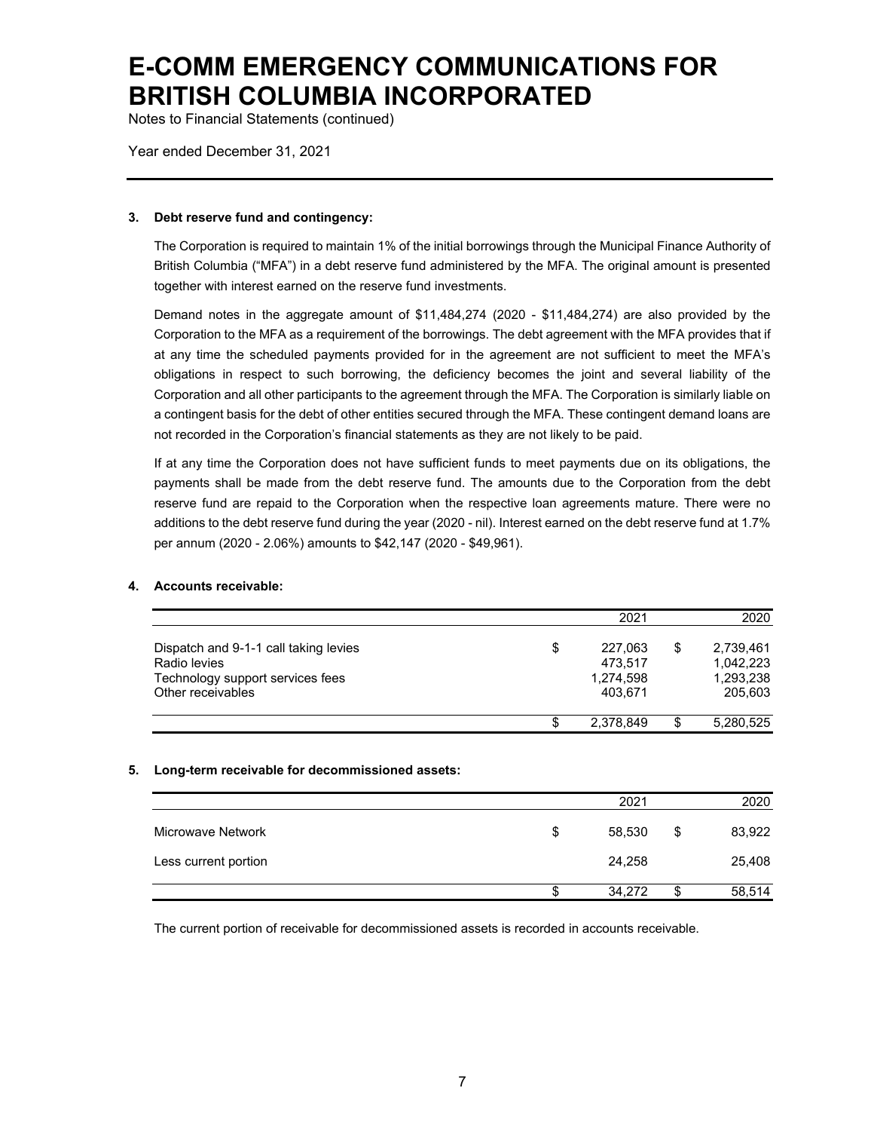Notes to Financial Statements (continued)

Year ended December 31, 2021

#### **3. Debt reserve fund and contingency:**

The Corporation is required to maintain 1% of the initial borrowings through the Municipal Finance Authority of British Columbia ("MFA") in a debt reserve fund administered by the MFA. The original amount is presented together with interest earned on the reserve fund investments.

Demand notes in the aggregate amount of \$11,484,274 (2020 - \$11,484,274) are also provided by the Corporation to the MFA as a requirement of the borrowings. The debt agreement with the MFA provides that if at any time the scheduled payments provided for in the agreement are not sufficient to meet the MFA's obligations in respect to such borrowing, the deficiency becomes the joint and several liability of the Corporation and all other participants to the agreement through the MFA. The Corporation is similarly liable on a contingent basis for the debt of other entities secured through the MFA. These contingent demand loans are not recorded in the Corporation's financial statements as they are not likely to be paid.

If at any time the Corporation does not have sufficient funds to meet payments due on its obligations, the payments shall be made from the debt reserve fund. The amounts due to the Corporation from the debt reserve fund are repaid to the Corporation when the respective loan agreements mature. There were no additions to the debt reserve fund during the year (2020 - nil). Interest earned on the debt reserve fund at 1.7% per annum (2020 - 2.06%) amounts to \$42,147 (2020 - \$49,961).

#### **4. Accounts receivable:**

|                                                                                                                | 2021                                             | 2020                                                 |
|----------------------------------------------------------------------------------------------------------------|--------------------------------------------------|------------------------------------------------------|
| Dispatch and 9-1-1 call taking levies<br>Radio levies<br>Technology support services fees<br>Other receivables | \$<br>227,063<br>473.517<br>1,274,598<br>403.671 | \$<br>2,739,461<br>1.042.223<br>1,293,238<br>205.603 |
|                                                                                                                | 2,378,849                                        | 5,280,525                                            |

#### **5. Long-term receivable for decommissioned assets:**

|                      |    | 2021   | 2020         |
|----------------------|----|--------|--------------|
| Microwave Network    | \$ | 58,530 | \$<br>83,922 |
| Less current portion |    | 24,258 | 25,408       |
|                      | S  | 34,272 | \$<br>58,514 |

The current portion of receivable for decommissioned assets is recorded in accounts receivable.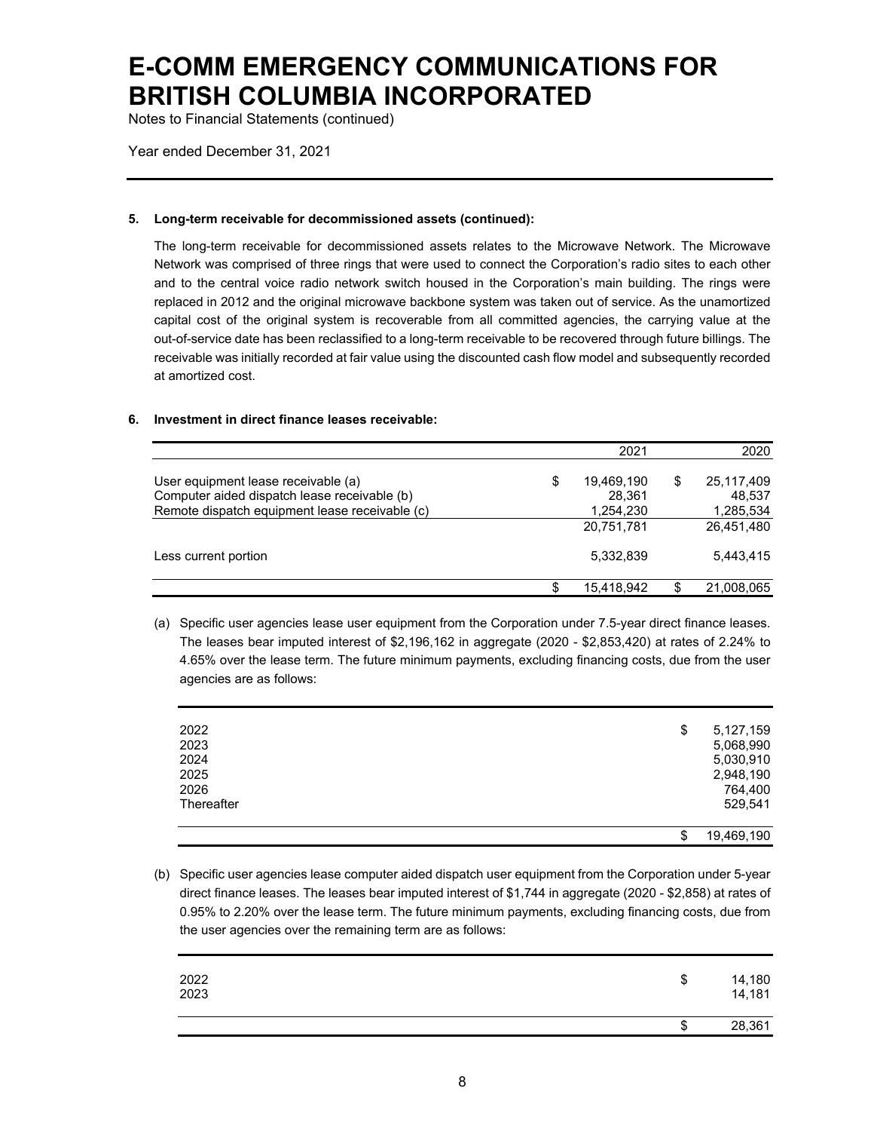Notes to Financial Statements (continued)

Year ended December 31, 2021

#### **5. Long-term receivable for decommissioned assets (continued):**

The long-term receivable for decommissioned assets relates to the Microwave Network. The Microwave Network was comprised of three rings that were used to connect the Corporation's radio sites to each other and to the central voice radio network switch housed in the Corporation's main building. The rings were replaced in 2012 and the original microwave backbone system was taken out of service. As the unamortized capital cost of the original system is recoverable from all committed agencies, the carrying value at the out-of-service date has been reclassified to a long-term receivable to be recovered through future billings. The receivable was initially recorded at fair value using the discounted cash flow model and subsequently recorded at amortized cost.

#### **6. Investment in direct finance leases receivable:**

|                                                |    | 2021       |   | 2020       |
|------------------------------------------------|----|------------|---|------------|
| User equipment lease receivable (a)            | \$ | 19,469,190 | S | 25,117,409 |
| Computer aided dispatch lease receivable (b)   |    | 28.361     |   | 48.537     |
| Remote dispatch equipment lease receivable (c) |    | 1,254,230  |   | 1,285,534  |
|                                                |    | 20.751.781 |   | 26,451,480 |
| Less current portion                           |    | 5.332.839  |   | 5.443.415  |
|                                                | S  | 15.418.942 |   | 21,008,065 |

(a) Specific user agencies lease user equipment from the Corporation under 7.5-year direct finance leases. The leases bear imputed interest of \$2,196,162 in aggregate (2020 - \$2,853,420) at rates of 2.24% to 4.65% over the lease term. The future minimum payments, excluding financing costs, due from the user agencies are as follows:

| 2023<br>2024 | 5,068,990<br>5,030,910 |
|--------------|------------------------|
| 2025         | 2,948,190              |
| 2026         | 764,400                |
| Thereafter   | 529,541                |
|              |                        |
|              | \$<br>19,469,190       |

(b) Specific user agencies lease computer aided dispatch user equipment from the Corporation under 5-year direct finance leases. The leases bear imputed interest of \$1,744 in aggregate (2020 - \$2,858) at rates of 0.95% to 2.20% over the lease term. The future minimum payments, excluding financing costs, due from the user agencies over the remaining term are as follows:

| 2022<br>2023 | S | 14,180<br>14,181 |
|--------------|---|------------------|
|              | S | 28,361           |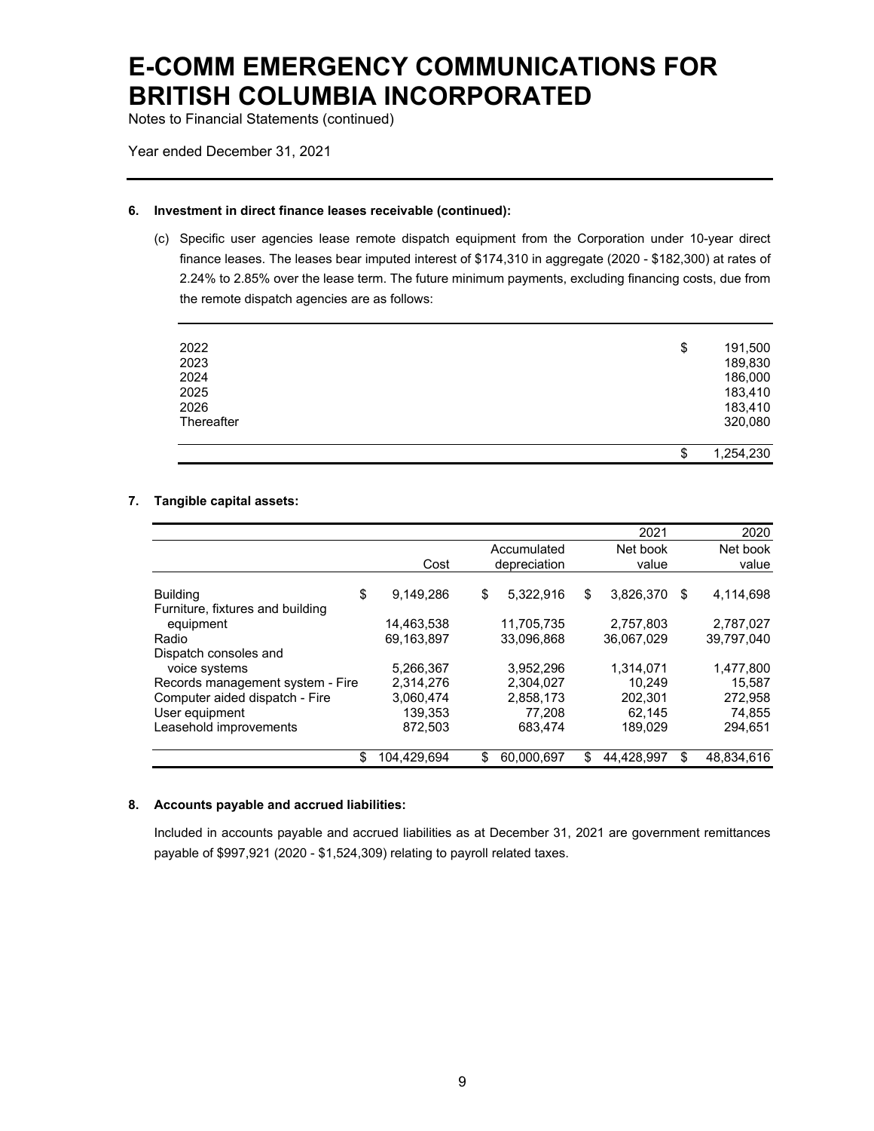Notes to Financial Statements (continued)

Year ended December 31, 2021

#### **6. Investment in direct finance leases receivable (continued):**

(c) Specific user agencies lease remote dispatch equipment from the Corporation under 10-year direct finance leases. The leases bear imputed interest of \$174,310 in aggregate (2020 - \$182,300) at rates of 2.24% to 2.85% over the lease term. The future minimum payments, excluding financing costs, due from the remote dispatch agencies are as follows:

| 2022       | \$<br>191,500   |
|------------|-----------------|
| 2023       | 189,830         |
| 2024       | 186,000         |
| 2025       | 183,410         |
| 2026       | 183,410         |
| Thereafter | 320,080         |
|            | \$<br>1,254,230 |

#### **7. Tangible capital assets:**

|                                  |             |                  |         | 2021       | 2020             |
|----------------------------------|-------------|------------------|---------|------------|------------------|
|                                  |             | Accumulated      |         | Net book   | Net book         |
|                                  | Cost        | depreciation     |         | value      | value            |
|                                  |             |                  |         |            |                  |
| \$<br><b>Building</b>            | 9.149.286   | 5.322.916<br>\$  | \$      | 3,826,370  | \$<br>4,114,698  |
| Furniture, fixtures and building |             |                  |         |            |                  |
| equipment                        | 14.463.538  | 11,705,735       |         | 2,757,803  | 2,787,027        |
| Radio                            | 69,163,897  | 33,096,868       |         | 36,067,029 | 39,797,040       |
| Dispatch consoles and            |             |                  |         |            |                  |
| voice systems                    | 5,266,367   | 3,952,296        |         | 1,314,071  | 1,477,800        |
| Records management system - Fire | 2,314,276   | 2,304,027        |         | 10.249     | 15,587           |
| Computer aided dispatch - Fire   | 3,060,474   | 2,858,173        |         | 202.301    | 272,958          |
| User equipment                   | 139,353     |                  | 77.208  | 62.145     | 74,855           |
| Leasehold improvements           | 872.503     |                  | 683.474 | 189.029    | 294.651          |
| \$                               | 104.429.694 | 60.000.697<br>\$ | \$      | 44.428.997 | \$<br>48,834,616 |

#### **8. Accounts payable and accrued liabilities:**

Included in accounts payable and accrued liabilities as at December 31, 2021 are government remittances payable of \$997,921 (2020 - \$1,524,309) relating to payroll related taxes.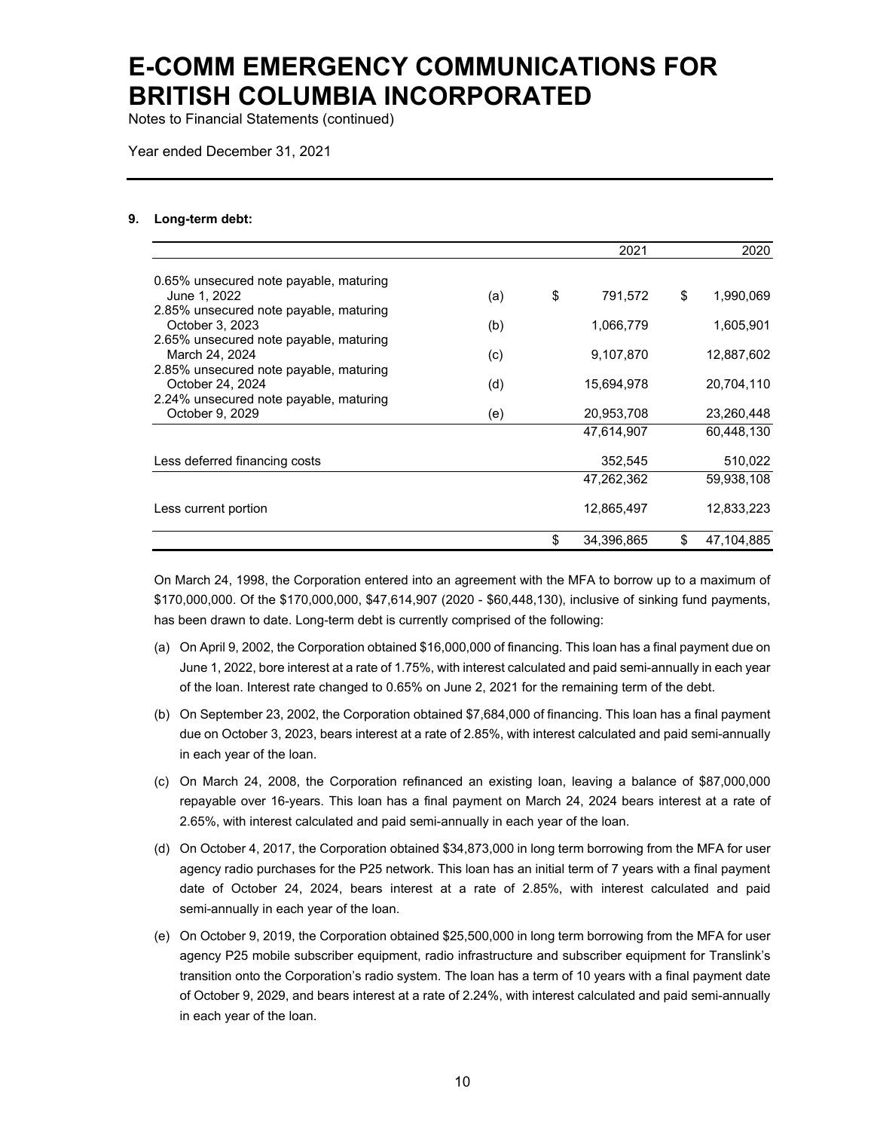Notes to Financial Statements (continued)

Year ended December 31, 2021

#### **9. Long-term debt:**

|                                                           |     | 2021             | 2020             |
|-----------------------------------------------------------|-----|------------------|------------------|
| 0.65% unsecured note payable, maturing                    |     |                  |                  |
| June 1, 2022                                              | (a) | \$<br>791,572    | \$<br>1,990,069  |
| 2.85% unsecured note payable, maturing                    |     |                  |                  |
| October 3, 2023                                           | (b) | 1,066,779        | 1,605,901        |
| 2.65% unsecured note payable, maturing                    |     |                  |                  |
| March 24, 2024                                            | (c) | 9,107,870        | 12,887,602       |
| 2.85% unsecured note payable, maturing                    |     |                  |                  |
| October 24, 2024                                          | (d) | 15,694,978       | 20,704,110       |
| 2.24% unsecured note payable, maturing<br>October 9, 2029 |     | 20,953,708       | 23,260,448       |
|                                                           | (e) |                  |                  |
|                                                           |     | 47,614,907       | 60,448,130       |
| Less deferred financing costs                             |     | 352,545          | 510,022          |
|                                                           |     | 47,262,362       | 59,938,108       |
| Less current portion                                      |     | 12,865,497       | 12,833,223       |
|                                                           |     | \$<br>34,396,865 | \$<br>47,104,885 |

On March 24, 1998, the Corporation entered into an agreement with the MFA to borrow up to a maximum of \$170,000,000. Of the \$170,000,000, \$47,614,907 (2020 - \$60,448,130), inclusive of sinking fund payments, has been drawn to date. Long-term debt is currently comprised of the following:

- (a) On April 9, 2002, the Corporation obtained \$16,000,000 of financing. This loan has a final payment due on June 1, 2022, bore interest at a rate of 1.75%, with interest calculated and paid semi-annually in each year of the loan. Interest rate changed to 0.65% on June 2, 2021 for the remaining term of the debt.
- (b) On September 23, 2002, the Corporation obtained \$7,684,000 of financing. This loan has a final payment due on October 3, 2023, bears interest at a rate of 2.85%, with interest calculated and paid semi-annually in each year of the loan.
- (c) On March 24, 2008, the Corporation refinanced an existing loan, leaving a balance of \$87,000,000 repayable over 16-years. This loan has a final payment on March 24, 2024 bears interest at a rate of 2.65%, with interest calculated and paid semi-annually in each year of the loan.
- (d) On October 4, 2017, the Corporation obtained \$34,873,000 in long term borrowing from the MFA for user agency radio purchases for the P25 network. This loan has an initial term of 7 years with a final payment date of October 24, 2024, bears interest at a rate of 2.85%, with interest calculated and paid semi-annually in each year of the loan.
- (e) On October 9, 2019, the Corporation obtained \$25,500,000 in long term borrowing from the MFA for user agency P25 mobile subscriber equipment, radio infrastructure and subscriber equipment for Translink's transition onto the Corporation's radio system. The loan has a term of 10 years with a final payment date of October 9, 2029, and bears interest at a rate of 2.24%, with interest calculated and paid semi-annually in each year of the loan.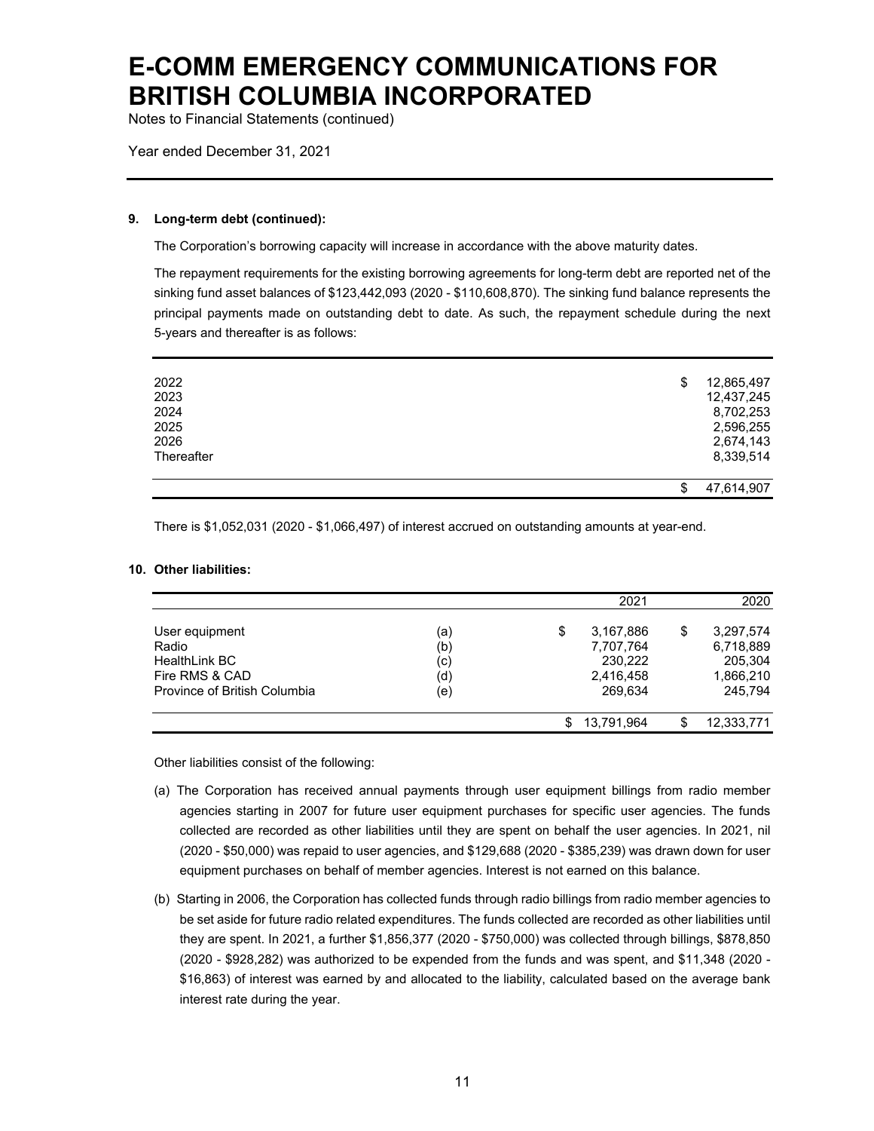Notes to Financial Statements (continued)

Year ended December 31, 2021

#### **9. Long-term debt (continued):**

The Corporation's borrowing capacity will increase in accordance with the above maturity dates.

The repayment requirements for the existing borrowing agreements for long-term debt are reported net of the sinking fund asset balances of \$123,442,093 (2020 - \$110,608,870). The sinking fund balance represents the principal payments made on outstanding debt to date. As such, the repayment schedule during the next 5-years and thereafter is as follows:

| 2022       | \$<br>12,865,497 |
|------------|------------------|
| 2023       | 12,437,245       |
| 2024       | 8,702,253        |
| 2025       | 2,596,255        |
| 2026       | 2,674,143        |
| Thereafter | 8,339,514        |
|            | \$<br>47,614,907 |

There is \$1,052,031 (2020 - \$1,066,497) of interest accrued on outstanding amounts at year-end.

#### **10. Other liabilities:**

|                              |     |   | 2021       |    | 2020       |
|------------------------------|-----|---|------------|----|------------|
| User equipment               | a)  | S | 3,167,886  | \$ | 3,297,574  |
| Radio                        | (b) |   | 7,707,764  |    | 6,718,889  |
| <b>HealthLink BC</b>         | (c) |   | 230,222    |    | 205,304    |
| Fire RMS & CAD               | (ď  |   | 2,416,458  |    | 1,866,210  |
| Province of British Columbia | (e) |   | 269.634    |    | 245,794    |
|                              |     |   | 13,791,964 | S  | 12,333,771 |

Other liabilities consist of the following:

- (a) The Corporation has received annual payments through user equipment billings from radio member agencies starting in 2007 for future user equipment purchases for specific user agencies. The funds collected are recorded as other liabilities until they are spent on behalf the user agencies. In 2021, nil (2020 - \$50,000) was repaid to user agencies, and \$129,688 (2020 - \$385,239) was drawn down for user equipment purchases on behalf of member agencies. Interest is not earned on this balance.
- (b) Starting in 2006, the Corporation has collected funds through radio billings from radio member agencies to be set aside for future radio related expenditures. The funds collected are recorded as other liabilities until they are spent. In 2021, a further \$1,856,377 (2020 - \$750,000) was collected through billings, \$878,850 (2020 - \$928,282) was authorized to be expended from the funds and was spent, and \$11,348 (2020 - \$16,863) of interest was earned by and allocated to the liability, calculated based on the average bank interest rate during the year.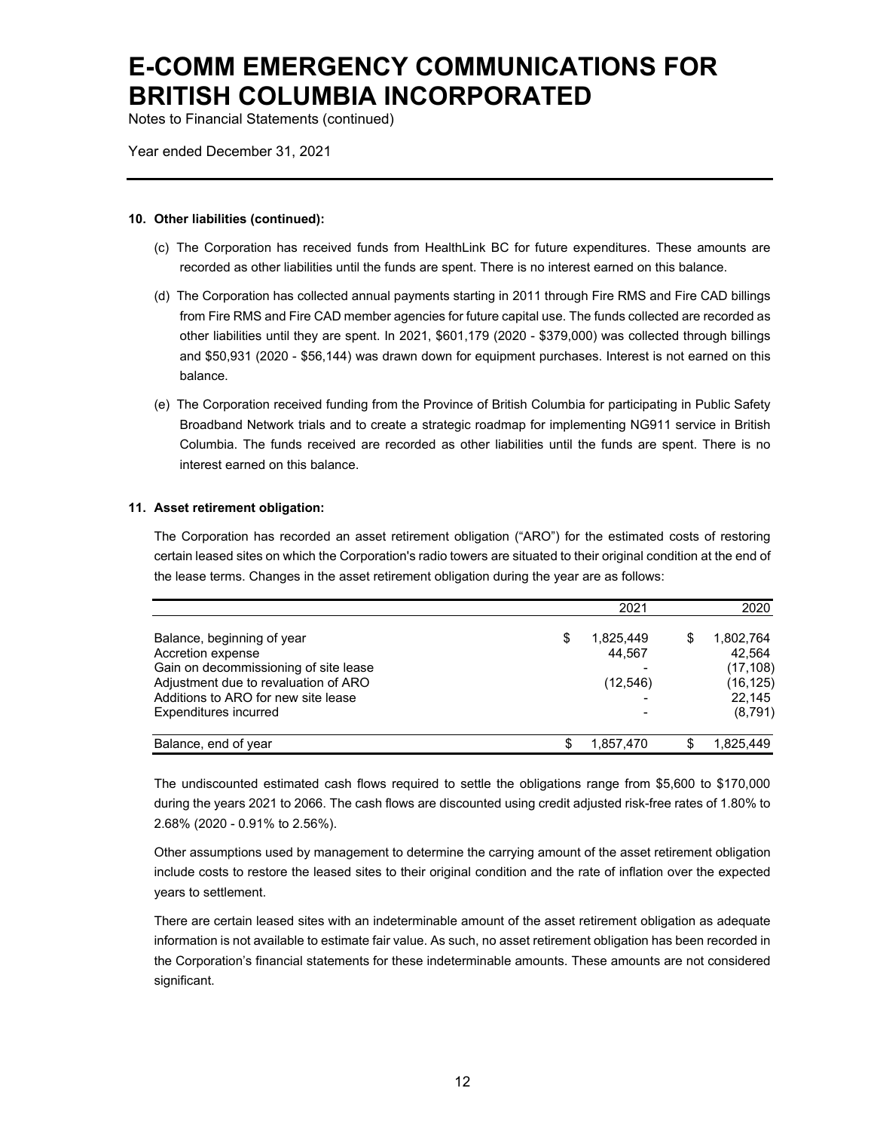Notes to Financial Statements (continued)

Year ended December 31, 2021

#### **10. Other liabilities (continued):**

- (c) The Corporation has received funds from HealthLink BC for future expenditures. These amounts are recorded as other liabilities until the funds are spent. There is no interest earned on this balance.
- (d) The Corporation has collected annual payments starting in 2011 through Fire RMS and Fire CAD billings from Fire RMS and Fire CAD member agencies for future capital use. The funds collected are recorded as other liabilities until they are spent. In 2021, \$601,179 (2020 - \$379,000) was collected through billings and \$50,931 (2020 - \$56,144) was drawn down for equipment purchases. Interest is not earned on this balance.
- (e) The Corporation received funding from the Province of British Columbia for participating in Public Safety Broadband Network trials and to create a strategic roadmap for implementing NG911 service in British Columbia. The funds received are recorded as other liabilities until the funds are spent. There is no interest earned on this balance.

#### **11. Asset retirement obligation:**

The Corporation has recorded an asset retirement obligation ("ARO") for the estimated costs of restoring certain leased sites on which the Corporation's radio towers are situated to their original condition at the end of the lease terms. Changes in the asset retirement obligation during the year are as follows:

|                                       | 2021            |   | 2020      |
|---------------------------------------|-----------------|---|-----------|
| Balance, beginning of year            | \$<br>1.825.449 | S | 1,802,764 |
| Accretion expense                     | 44.567          |   | 42.564    |
| Gain on decommissioning of site lease |                 |   | (17, 108) |
| Adjustment due to revaluation of ARO  | (12,546)        |   | (16, 125) |
| Additions to ARO for new site lease   |                 |   | 22,145    |
| Expenditures incurred                 |                 |   | (8,791)   |
| Balance, end of year                  | 1.857.470       |   | 1.825.449 |

The undiscounted estimated cash flows required to settle the obligations range from \$5,600 to \$170,000 during the years 2021 to 2066. The cash flows are discounted using credit adjusted risk-free rates of 1.80% to 2.68% (2020 - 0.91% to 2.56%).

Other assumptions used by management to determine the carrying amount of the asset retirement obligation include costs to restore the leased sites to their original condition and the rate of inflation over the expected years to settlement.

There are certain leased sites with an indeterminable amount of the asset retirement obligation as adequate information is not available to estimate fair value. As such, no asset retirement obligation has been recorded in the Corporation's financial statements for these indeterminable amounts. These amounts are not considered significant.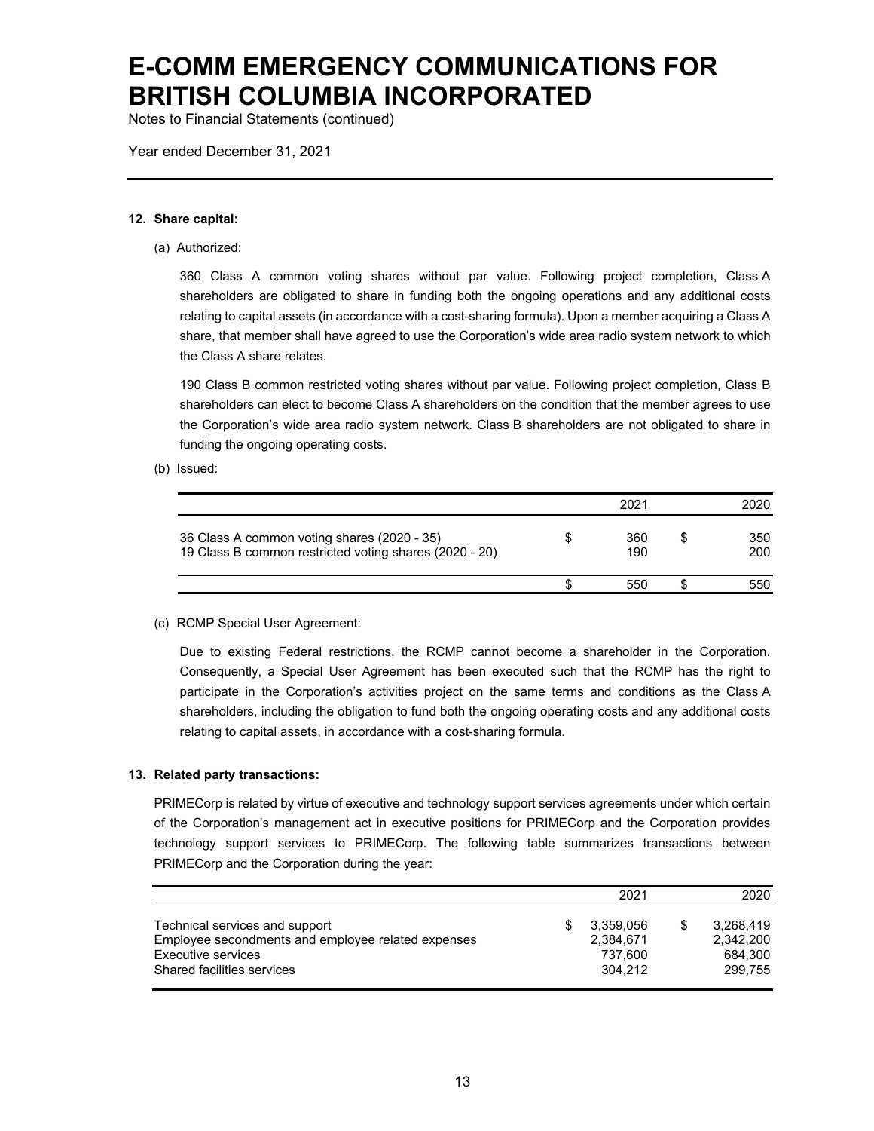Notes to Financial Statements (continued)

Year ended December 31, 2021

#### **12. Share capital:**

(a) Authorized:

360 Class A common voting shares without par value. Following project completion, Class A shareholders are obligated to share in funding both the ongoing operations and any additional costs relating to capital assets (in accordance with a cost-sharing formula). Upon a member acquiring a Class A share, that member shall have agreed to use the Corporation's wide area radio system network to which the Class A share relates.

190 Class B common restricted voting shares without par value. Following project completion, Class B shareholders can elect to become Class A shareholders on the condition that the member agrees to use the Corporation's wide area radio system network. Class B shareholders are not obligated to share in funding the ongoing operating costs.

#### (b) Issued:

|                                                                                                       | 2021       | 2020.      |
|-------------------------------------------------------------------------------------------------------|------------|------------|
| 36 Class A common voting shares (2020 - 35)<br>19 Class B common restricted voting shares (2020 - 20) | 360<br>190 | 350<br>200 |
|                                                                                                       | 550        | 550        |

#### (c) RCMP Special User Agreement:

Due to existing Federal restrictions, the RCMP cannot become a shareholder in the Corporation. Consequently, a Special User Agreement has been executed such that the RCMP has the right to participate in the Corporation's activities project on the same terms and conditions as the Class A shareholders, including the obligation to fund both the ongoing operating costs and any additional costs relating to capital assets, in accordance with a cost-sharing formula.

#### **13. Related party transactions:**

PRIMECorp is related by virtue of executive and technology support services agreements under which certain of the Corporation's management act in executive positions for PRIMECorp and the Corporation provides technology support services to PRIMECorp. The following table summarizes transactions between PRIMECorp and the Corporation during the year:

|                                                                                                                                          | 2021                                         |   | 2020                                         |
|------------------------------------------------------------------------------------------------------------------------------------------|----------------------------------------------|---|----------------------------------------------|
| Technical services and support<br>Employee secondments and employee related expenses<br>Executive services<br>Shared facilities services | 3,359,056<br>2,384,671<br>737.600<br>304.212 | S | 3,268,419<br>2.342.200<br>684.300<br>299.755 |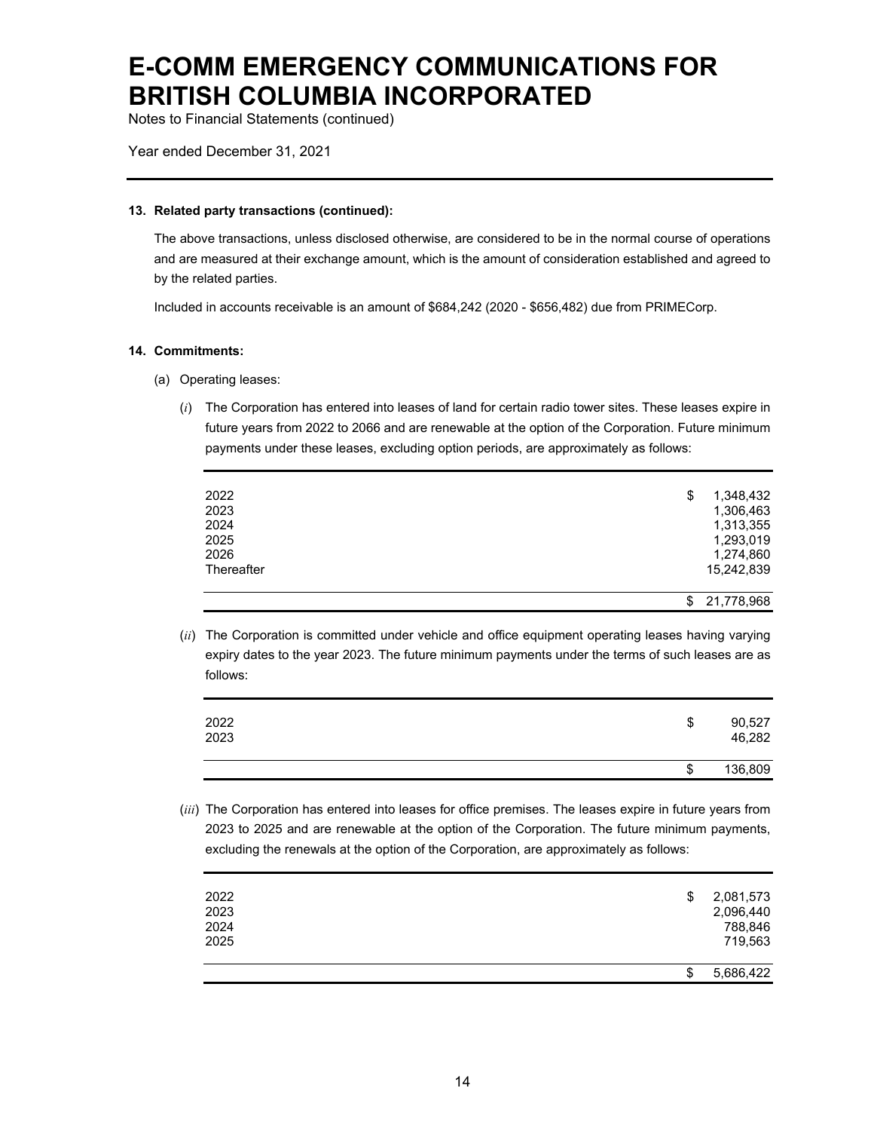Notes to Financial Statements (continued)

Year ended December 31, 2021

#### **13. Related party transactions (continued):**

The above transactions, unless disclosed otherwise, are considered to be in the normal course of operations and are measured at their exchange amount, which is the amount of consideration established and agreed to by the related parties.

Included in accounts receivable is an amount of \$684,242 (2020 - \$656,482) due from PRIMECorp.

#### **14. Commitments:**

- (a) Operating leases:
	- (*i*) The Corporation has entered into leases of land for certain radio tower sites. These leases expire in future years from 2022 to 2066 and are renewable at the option of the Corporation. Future minimum payments under these leases, excluding option periods, are approximately as follows:

| 2022       | \$<br>1,348,432  |
|------------|------------------|
| 2023       | 1,306,463        |
| 2024       | 1,313,355        |
| 2025       | 1,293,019        |
| 2026       | 1,274,860        |
| Thereafter | 15,242,839       |
|            |                  |
|            | \$<br>21,778,968 |

(*ii*) The Corporation is committed under vehicle and office equipment operating leases having varying expiry dates to the year 2023. The future minimum payments under the terms of such leases are as follows:

| 2022<br>2023 | \$<br>90,527<br>46,282 |
|--------------|------------------------|
|              | \$<br>136,809          |

(*iii*) The Corporation has entered into leases for office premises. The leases expire in future years from 2023 to 2025 and are renewable at the option of the Corporation. The future minimum payments, excluding the renewals at the option of the Corporation, are approximately as follows:

| 2022<br>2023<br>2024<br>2025 | \$<br>2,081,573<br>2,096,440<br>788,846<br>719,563 |
|------------------------------|----------------------------------------------------|
|                              | \$<br>5,686,422                                    |